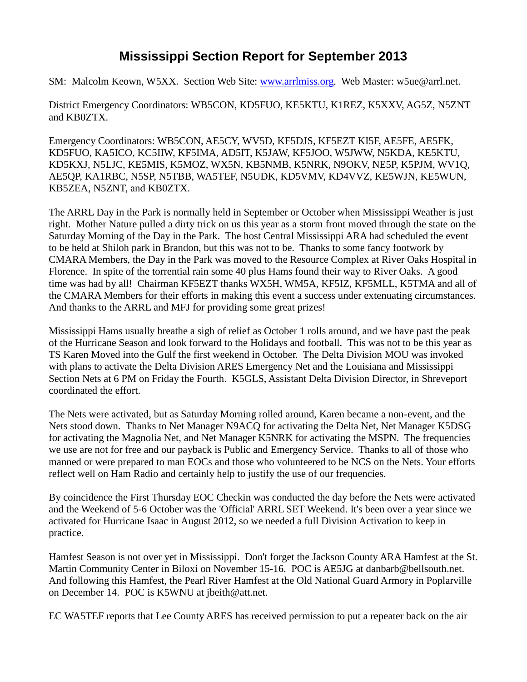## **Mississippi Section Report for September 2013**

SM: Malcolm Keown, W5XX. Section Web Site: [www.arrlmiss.org.](http://www.arrlmiss.org/) Web Master: w5ue@arrl.net.

District Emergency Coordinators: WB5CON, KD5FUO, KE5KTU, K1REZ, K5XXV, AG5Z, N5ZNT and KB0ZTX.

Emergency Coordinators: WB5CON, AE5CY, WV5D, KF5DJS, KF5EZT KI5F, AE5FE, AE5FK, KD5FUO, KA5ICO, KC5IIW, KF5IMA, AD5IT, K5JAW, KF5JOO, W5JWW, N5KDA, KE5KTU, KD5KXJ, N5LJC, KE5MIS, K5MOZ, WX5N, KB5NMB, K5NRK, N9OKV, NE5P, K5PJM, WV1Q, AE5QP, KA1RBC, N5SP, N5TBB, WA5TEF, N5UDK, KD5VMV, KD4VVZ, KE5WJN, KE5WUN, KB5ZEA, N5ZNT, and KB0ZTX.

The ARRL Day in the Park is normally held in September or October when Mississippi Weather is just right. Mother Nature pulled a dirty trick on us this year as a storm front moved through the state on the Saturday Morning of the Day in the Park. The host Central Mississippi ARA had scheduled the event to be held at Shiloh park in Brandon, but this was not to be. Thanks to some fancy footwork by CMARA Members, the Day in the Park was moved to the Resource Complex at River Oaks Hospital in Florence. In spite of the torrential rain some 40 plus Hams found their way to River Oaks. A good time was had by all! Chairman KF5EZT thanks WX5H, WM5A, KF5IZ, KF5MLL, K5TMA and all of the CMARA Members for their efforts in making this event a success under extenuating circumstances. And thanks to the ARRL and MFJ for providing some great prizes!

Mississippi Hams usually breathe a sigh of relief as October 1 rolls around, and we have past the peak of the Hurricane Season and look forward to the Holidays and football. This was not to be this year as TS Karen Moved into the Gulf the first weekend in October. The Delta Division MOU was invoked with plans to activate the Delta Division ARES Emergency Net and the Louisiana and Mississippi Section Nets at 6 PM on Friday the Fourth. K5GLS, Assistant Delta Division Director, in Shreveport coordinated the effort.

The Nets were activated, but as Saturday Morning rolled around, Karen became a non-event, and the Nets stood down. Thanks to Net Manager N9ACQ for activating the Delta Net, Net Manager K5DSG for activating the Magnolia Net, and Net Manager K5NRK for activating the MSPN. The frequencies we use are not for free and our payback is Public and Emergency Service. Thanks to all of those who manned or were prepared to man EOCs and those who volunteered to be NCS on the Nets. Your efforts reflect well on Ham Radio and certainly help to justify the use of our frequencies.

By coincidence the First Thursday EOC Checkin was conducted the day before the Nets were activated and the Weekend of 5-6 October was the 'Official' ARRL SET Weekend. It's been over a year since we activated for Hurricane Isaac in August 2012, so we needed a full Division Activation to keep in practice.

Hamfest Season is not over yet in Mississippi. Don't forget the Jackson County ARA Hamfest at the St. Martin Community Center in Biloxi on November 15-16. POC is AE5JG at [danbarb@bellsouth.net.](mailto:danbarb@bellsouth.net) And following this Hamfest, the Pearl River Hamfest at the Old National Guard Armory in Poplarville on December 14. POC is K5WNU at jbeith@att.net.

EC WA5TEF reports that Lee County ARES has received permission to put a repeater back on the air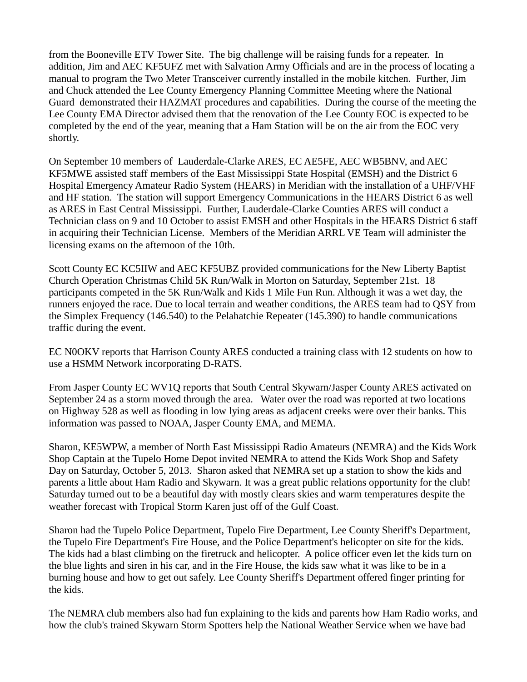from the Booneville ETV Tower Site. The big challenge will be raising funds for a repeater. In addition, Jim and AEC KF5UFZ met with Salvation Army Officials and are in the process of locating a manual to program the Two Meter Transceiver currently installed in the mobile kitchen. Further, Jim and Chuck attended the Lee County Emergency Planning Committee Meeting where the National Guard demonstrated their HAZMAT procedures and capabilities. During the course of the meeting the Lee County EMA Director advised them that the renovation of the Lee County EOC is expected to be completed by the end of the year, meaning that a Ham Station will be on the air from the EOC very shortly.

On September 10 members of Lauderdale-Clarke ARES, EC AE5FE, AEC WB5BNV, and AEC KF5MWE assisted staff members of the East Mississippi State Hospital (EMSH) and the District 6 Hospital Emergency Amateur Radio System (HEARS) in Meridian with the installation of a UHF/VHF and HF station. The station will support Emergency Communications in the HEARS District 6 as well as ARES in East Central Mississippi. Further, Lauderdale-Clarke Counties ARES will conduct a Technician class on 9 and 10 October to assist EMSH and other Hospitals in the HEARS District 6 staff in acquiring their Technician License. Members of the Meridian ARRL VE Team will administer the licensing exams on the afternoon of the 10th.

Scott County EC KC5IIW and AEC KF5UBZ provided communications for the New Liberty Baptist Church Operation Christmas Child 5K Run/Walk in Morton on Saturday, September 21st. 18 participants competed in the 5K Run/Walk and Kids 1 Mile Fun Run. Although it was a wet day, the runners enjoyed the race. Due to local terrain and weather conditions, the ARES team had to QSY from the Simplex Frequency (146.540) to the Pelahatchie Repeater (145.390) to handle communications traffic during the event.

EC N0OKV reports that Harrison County ARES conducted a training class with 12 students on how to use a HSMM Network incorporating D-RATS.

From Jasper County EC WV1Q reports that South Central Skywarn/Jasper County ARES activated on September 24 as a storm moved through the area. Water over the road was reported at two locations on Highway 528 as well as flooding in low lying areas as adjacent creeks were over their banks. This information was passed to NOAA, Jasper County EMA, and MEMA.

Sharon, KE5WPW, a member of North East Mississippi Radio Amateurs (NEMRA) and the Kids Work Shop Captain at the Tupelo Home Depot invited NEMRA to attend the Kids Work Shop and Safety Day on Saturday, October 5, 2013. Sharon asked that NEMRA set up a station to show the kids and parents a little about Ham Radio and Skywarn. It was a great public relations opportunity for the club! Saturday turned out to be a beautiful day with mostly clears skies and warm temperatures despite the weather forecast with Tropical Storm Karen just off of the Gulf Coast.

Sharon had the Tupelo Police Department, Tupelo Fire Department, Lee County Sheriff's Department, the Tupelo Fire Department's Fire House, and the Police Department's helicopter on site for the kids. The kids had a blast climbing on the firetruck and helicopter. A police officer even let the kids turn on the blue lights and siren in his car, and in the Fire House, the kids saw what it was like to be in a burning house and how to get out safely. Lee County Sheriff's Department offered finger printing for the kids.

The NEMRA club members also had fun explaining to the kids and parents how Ham Radio works, and how the club's trained Skywarn Storm Spotters help the National Weather Service when we have bad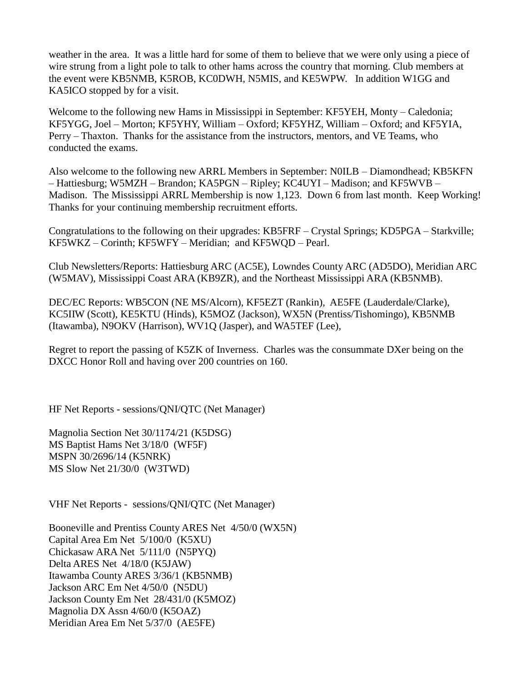weather in the area. It was a little hard for some of them to believe that we were only using a piece of wire strung from a light pole to talk to other hams across the country that morning. Club members at the event were KB5NMB, K5ROB, KC0DWH, N5MIS, and KE5WPW. In addition W1GG and KA5ICO stopped by for a visit.

Welcome to the following new Hams in Mississippi in September: KF5YEH, Monty – Caledonia; KF5YGG, Joel – Morton; KF5YHY, William – Oxford; KF5YHZ, William – Oxford; and KF5YIA, Perry – Thaxton. Thanks for the assistance from the instructors, mentors, and VE Teams, who conducted the exams.

Also welcome to the following new ARRL Members in September: N0ILB – Diamondhead; KB5KFN – Hattiesburg; W5MZH – Brandon; KA5PGN – Ripley; KC4UYI – Madison; and KF5WVB – Madison. The Mississippi ARRL Membership is now 1,123. Down 6 from last month. Keep Working! Thanks for your continuing membership recruitment efforts.

Congratulations to the following on their upgrades: KB5FRF – Crystal Springs; KD5PGA – Starkville; KF5WKZ – Corinth; KF5WFY – Meridian; and KF5WQD – Pearl.

Club Newsletters/Reports: Hattiesburg ARC (AC5E), Lowndes County ARC (AD5DO), Meridian ARC (W5MAV), Mississippi Coast ARA (KB9ZR), and the Northeast Mississippi ARA (KB5NMB).

DEC/EC Reports: WB5CON (NE MS/Alcorn), KF5EZT (Rankin), AE5FE (Lauderdale/Clarke), KC5IIW (Scott), KE5KTU (Hinds), K5MOZ (Jackson), WX5N (Prentiss/Tishomingo), KB5NMB (Itawamba), N9OKV (Harrison), WV1Q (Jasper), and WA5TEF (Lee),

Regret to report the passing of K5ZK of Inverness. Charles was the consummate DXer being on the DXCC Honor Roll and having over 200 countries on 160.

HF Net Reports - sessions/QNI/QTC (Net Manager)

Magnolia Section Net 30/1174/21 (K5DSG) MS Baptist Hams Net 3/18/0 (WF5F) MSPN 30/2696/14 (K5NRK) MS Slow Net 21/30/0 (W3TWD)

VHF Net Reports - sessions/QNI/QTC (Net Manager)

Booneville and Prentiss County ARES Net 4/50/0 (WX5N) Capital Area Em Net 5/100/0 (K5XU) Chickasaw ARA Net 5/111/0 (N5PYQ) Delta ARES Net 4/18/0 (K5JAW) Itawamba County ARES 3/36/1 (KB5NMB) Jackson ARC Em Net 4/50/0 (N5DU) Jackson County Em Net 28/431/0 (K5MOZ) Magnolia DX Assn 4/60/0 (K5OAZ) Meridian Area Em Net 5/37/0 (AE5FE)